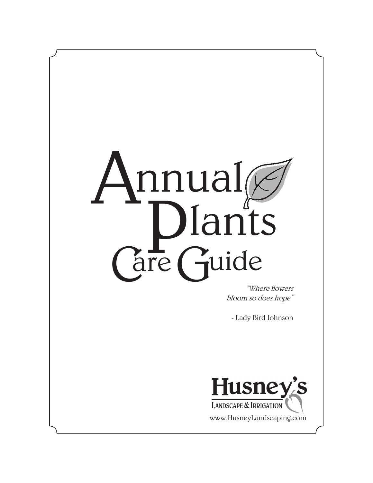

"Where flowers bloom so does hope"

- Lady Bird Johnson